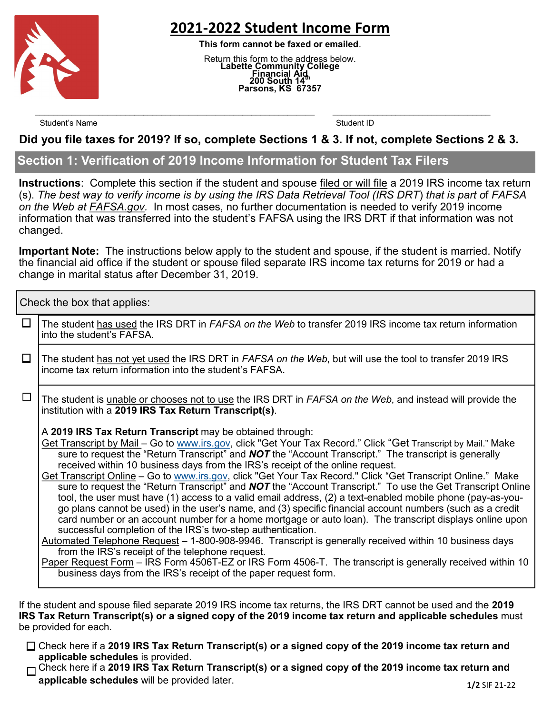

# **2021-2022 Student Income Form**

**This form cannot be faxed or emailed**.

Return this form to the address below. **Labette Community College Financial Aid 200 South 14th Parsons, KS 67357**

Student's Name Student ID

#### **Did you file taxes for 2019? If so, complete Sections 1 & 3. If not, complete Sections 2 & 3.**

 $\mathcal{L}_\text{max} = \mathcal{L}_\text{max} = \mathcal{L}_\text{max} = \mathcal{L}_\text{max} = \mathcal{L}_\text{max} = \mathcal{L}_\text{max} = \mathcal{L}_\text{max} = \mathcal{L}_\text{max} = \mathcal{L}_\text{max} = \mathcal{L}_\text{max} = \mathcal{L}_\text{max} = \mathcal{L}_\text{max} = \mathcal{L}_\text{max} = \mathcal{L}_\text{max} = \mathcal{L}_\text{max} = \mathcal{L}_\text{max} = \mathcal{L}_\text{max} = \mathcal{L}_\text{max} = \mathcal{$ 

## **Section 1: Verification of 2019 Income Information for Student Tax Filers**

**Instructions**: Complete this section if the student and spouse filed or will file a 2019 IRS income tax return (s). *The best way to verify income is by using the IRS Data Retrieval Tool (IRS DRT*) *that is part o*f *FAFSA on the Web at FAFSA.gov.* In most cases, no further documentation is needed to verify 2019 income information that was transferred into the student's FAFSA using the IRS DRT if that information was not changed.

**Important Note:** The instructions below apply to the student and spouse, if the student is married. Notify the financial aid office if the student or spouse filed separate IRS income tax returns for 2019 or had a change in marital status after December 31, 2019.

Check the box that applies:

| $\Box$ | The student has used the IRS DRT in FAFSA on the Web to transfer 2019 IRS income tax return information<br>into the student's FAFSA.                                                                                                                                                                                                                                                                                                                                                                                                                                                                                                                                                                                                                                                                                                                                                                                                                                                                                                                                                                                                                                                                                                                                                                                                                                       |  |  |
|--------|----------------------------------------------------------------------------------------------------------------------------------------------------------------------------------------------------------------------------------------------------------------------------------------------------------------------------------------------------------------------------------------------------------------------------------------------------------------------------------------------------------------------------------------------------------------------------------------------------------------------------------------------------------------------------------------------------------------------------------------------------------------------------------------------------------------------------------------------------------------------------------------------------------------------------------------------------------------------------------------------------------------------------------------------------------------------------------------------------------------------------------------------------------------------------------------------------------------------------------------------------------------------------------------------------------------------------------------------------------------------------|--|--|
| $\Box$ | The student has not yet used the IRS DRT in FAFSA on the Web, but will use the tool to transfer 2019 IRS<br>income tax return information into the student's FAFSA.                                                                                                                                                                                                                                                                                                                                                                                                                                                                                                                                                                                                                                                                                                                                                                                                                                                                                                                                                                                                                                                                                                                                                                                                        |  |  |
| $\Box$ | The student is unable or chooses not to use the IRS DRT in FAFSA on the Web, and instead will provide the<br>institution with a 2019 IRS Tax Return Transcript(s).                                                                                                                                                                                                                                                                                                                                                                                                                                                                                                                                                                                                                                                                                                                                                                                                                                                                                                                                                                                                                                                                                                                                                                                                         |  |  |
|        | A 2019 IRS Tax Return Transcript may be obtained through:<br><u>Get Transcript by Mail – Go to www.irs.gov,</u> click "Get Your Tax Record." Click "Get Transcript by Mail." Make<br>sure to request the "Return Transcript" and <b>NOT</b> the "Account Transcript." The transcript is generally<br>received within 10 business days from the IRS's receipt of the online request.<br>Get Transcript Online - Go to www.irs.gov, click "Get Your Tax Record." Click "Get Transcript Online." Make<br>sure to request the "Return Transcript" and <b>NOT</b> the "Account Transcript." To use the Get Transcript Online<br>tool, the user must have (1) access to a valid email address, (2) a text-enabled mobile phone (pay-as-you-<br>go plans cannot be used) in the user's name, and (3) specific financial account numbers (such as a credit<br>card number or an account number for a home mortgage or auto loan). The transcript displays online upon<br>successful completion of the IRS's two-step authentication.<br>Automated Telephone Request - 1-800-908-9946. Transcript is generally received within 10 business days<br>from the IRS's receipt of the telephone request.<br>Paper Request Form – IRS Form 4506T-EZ or IRS Form 4506-T. The transcript is generally received within 10<br>business days from the IRS's receipt of the paper request form. |  |  |
|        |                                                                                                                                                                                                                                                                                                                                                                                                                                                                                                                                                                                                                                                                                                                                                                                                                                                                                                                                                                                                                                                                                                                                                                                                                                                                                                                                                                            |  |  |

If the student and spouse filed separate 2019 IRS income tax returns, the IRS DRT cannot be used and the **2019 IRS Tax Return Transcript(s) or a signed copy of the 2019 income tax return and applicable schedules** must be provided for each.

Check here if a **2019 IRS Tax Return Transcript(s) or a signed copy of the 2019 income tax return and applicable schedules** is provided.

Check here if a **2019 IRS Tax Return Transcript(s) or a signed copy of the 2019 income tax return and applicable schedules** will be provided later. **1/2** SIF 21-22